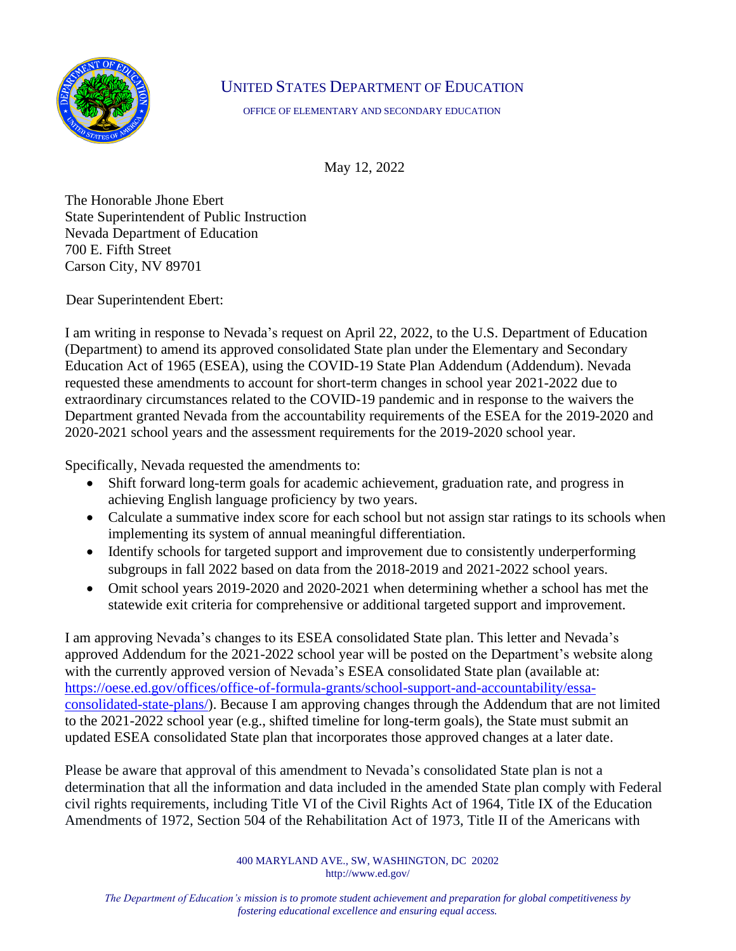

## UNITED STATES DEPARTMENT OF EDUCATION

OFFICE OF ELEMENTARY AND SECONDARY EDUCATION

May 12, 2022

The Honorable Jhone Ebert State Superintendent of Public Instruction Nevada Department of Education 700 E. Fifth Street Carson City, NV 89701

Dear Superintendent Ebert:

I am writing in response to Nevada's request on April 22, 2022, to the U.S. Department of Education (Department) to amend its approved consolidated State plan under the Elementary and Secondary Education Act of 1965 (ESEA), using the COVID-19 State Plan Addendum (Addendum). Nevada requested these amendments to account for short-term changes in school year 2021-2022 due to extraordinary circumstances related to the COVID-19 pandemic and in response to the waivers the Department granted Nevada from the accountability requirements of the ESEA for the 2019-2020 and 2020-2021 school years and the assessment requirements for the 2019-2020 school year.

Specifically, Nevada requested the amendments to:

- Shift forward long-term goals for academic achievement, graduation rate, and progress in achieving English language proficiency by two years.
- Calculate a summative index score for each school but not assign star ratings to its schools when implementing its system of annual meaningful differentiation.
- Identify schools for targeted support and improvement due to consistently underperforming subgroups in fall 2022 based on data from the 2018-2019 and 2021-2022 school years.
- Omit school years 2019-2020 and 2020-2021 when determining whether a school has met the statewide exit criteria for comprehensive or additional targeted support and improvement.

I am approving Nevada's changes to its ESEA consolidated State plan. This letter and Nevada's approved Addendum for the 2021-2022 school year will be posted on the Department's website along with the currently approved version of Nevada's ESEA consolidated State plan (available at: [https://oese.ed.gov/offices/office-of-formula-grants/school-support-and-accountability/essa](https://oese.ed.gov/offices/office-of-formula-grants/school-support-and-accountability/essa-consolidated-state-plans/)[consolidated-state-plans/\)](https://oese.ed.gov/offices/office-of-formula-grants/school-support-and-accountability/essa-consolidated-state-plans/). Because I am approving changes through the Addendum that are not limited to the 2021-2022 school year (e.g., shifted timeline for long-term goals), the State must submit an updated ESEA consolidated State plan that incorporates those approved changes at a later date.

Please be aware that approval of this amendment to Nevada's consolidated State plan is not a determination that all the information and data included in the amended State plan comply with Federal civil rights requirements, including Title VI of the Civil Rights Act of 1964, Title IX of the Education Amendments of 1972, Section 504 of the Rehabilitation Act of 1973, Title II of the Americans with

> 400 MARYLAND AVE., SW, WASHINGTON, DC 20202 http://www.ed.gov/